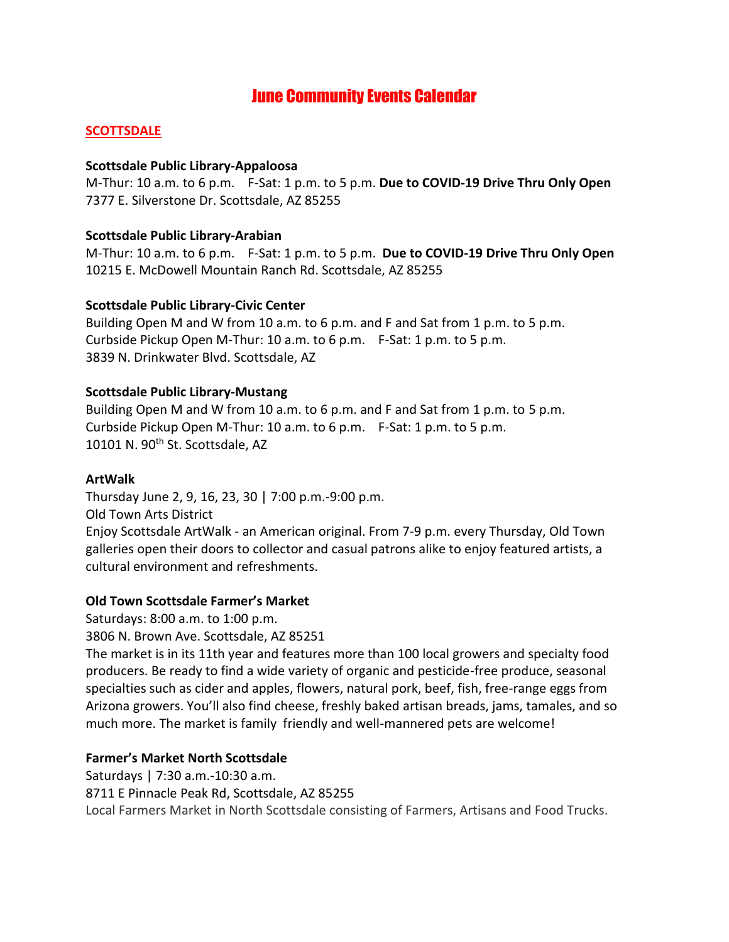# June Community Events Calendar

### **SCOTTSDALE**

#### **Scottsdale Public Library-Appaloosa**

M-Thur: 10 a.m. to 6 p.m. F-Sat: 1 p.m. to 5 p.m. **Due to COVID-19 Drive Thru Only Open** 7377 E. Silverstone Dr. Scottsdale, AZ 85255

#### **Scottsdale Public Library-Arabian**

M-Thur: 10 a.m. to 6 p.m. F-Sat: 1 p.m. to 5 p.m. **Due to COVID-19 Drive Thru Only Open** 10215 E. McDowell Mountain Ranch Rd. Scottsdale, AZ 85255

#### **Scottsdale Public Library-Civic Center**

Building Open M and W from 10 a.m. to 6 p.m. and F and Sat from 1 p.m. to 5 p.m. Curbside Pickup Open M-Thur: 10 a.m. to 6 p.m. F-Sat: 1 p.m. to 5 p.m. 3839 N. Drinkwater Blvd. Scottsdale, AZ

#### **Scottsdale Public Library-Mustang**

Building Open M and W from 10 a.m. to 6 p.m. and F and Sat from 1 p.m. to 5 p.m. Curbside Pickup Open M-Thur: 10 a.m. to 6 p.m. F-Sat: 1 p.m. to 5 p.m. 10101 N. 90<sup>th</sup> St. Scottsdale, AZ

#### **ArtWalk**

Thursday June 2, 9, 16, 23, 30 | 7:00 p.m.-9:00 p.m. Old Town Arts District Enjoy Scottsdale ArtWalk - an American original. From 7-9 p.m. every Thursday, Old Town galleries open their doors to collector and casual patrons alike to enjoy featured artists, a cultural environment and refreshments.

#### **Old Town Scottsdale Farmer's Market**

Saturdays: 8:00 a.m. to 1:00 p.m. 3806 N. Brown Ave. Scottsdale, AZ 85251

The market is in its 11th year and features more than 100 local growers and specialty food producers. Be ready to find a wide variety of organic and pesticide-free produce, seasonal specialties such as cider and apples, flowers, natural pork, beef, fish, free-range eggs from Arizona growers. You'll also find cheese, freshly baked artisan breads, jams, tamales, and so much more. The market is family friendly and well-mannered pets are welcome!

## **Farmer's Market North Scottsdale**

Saturdays | 7:30 a.m.-10:30 a.m. 8711 E Pinnacle Peak Rd, Scottsdale, AZ 85255 Local Farmers Market in North Scottsdale consisting of Farmers, Artisans and Food Trucks.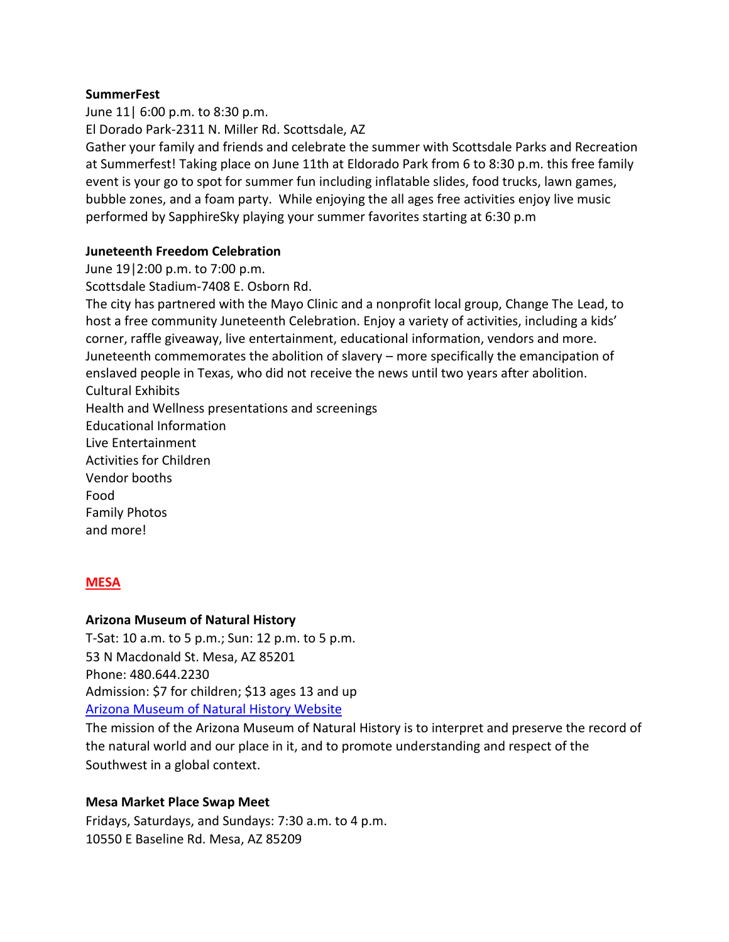#### **SummerFest**

June 11| 6:00 p.m. to 8:30 p.m. El Dorado Park-2311 N. Miller Rd. Scottsdale, AZ Gather your family and friends and celebrate the summer with Scottsdale Parks and Recreation at Summerfest! Taking place on June 11th at Eldorado Park from 6 to 8:30 p.m. this free family event is your go to spot for summer fun including inflatable slides, food trucks, lawn games, bubble zones, and a foam party. While enjoying the all ages free activities enjoy live music performed by SapphireSky playing your summer favorites starting at 6:30 p.m

### **Juneteenth Freedom Celebration**

June 19|2:00 p.m. to 7:00 p.m.

Scottsdale Stadium-7408 E. Osborn Rd.

The city has partnered with the Mayo Clinic and a nonprofit local group, Change The Lead, to host a free community Juneteenth Celebration. Enjoy a variety of activities, including a kids' corner, raffle giveaway, live entertainment, educational information, vendors and more. Juneteenth commemorates the abolition of slavery – more specifically the emancipation of enslaved people in Texas, who did not receive the news until two years after abolition. Cultural Exhibits Health and Wellness presentations and screenings Educational Information Live Entertainment Activities for Children Vendor booths Food Family Photos and more!

#### **MESA**

#### **Arizona Museum of Natural History**

T-Sat: 10 a.m. to 5 p.m.; Sun: 12 p.m. to 5 p.m. 53 N Macdonald St. Mesa, AZ 85201 Phone: 480.644.2230 Admission: \$7 for children; \$13 ages 13 and up [Arizona Museum of Natural History Website](https://www.arizonamuseumofnaturalhistory.org/)

The mission of the Arizona Museum of Natural History is to interpret and preserve the record of the natural world and our place in it, and to promote understanding and respect of the Southwest in a global context.

#### **Mesa Market Place Swap Meet**

Fridays, Saturdays, and Sundays: 7:30 a.m. to 4 p.m. 10550 E Baseline Rd. Mesa, AZ 85209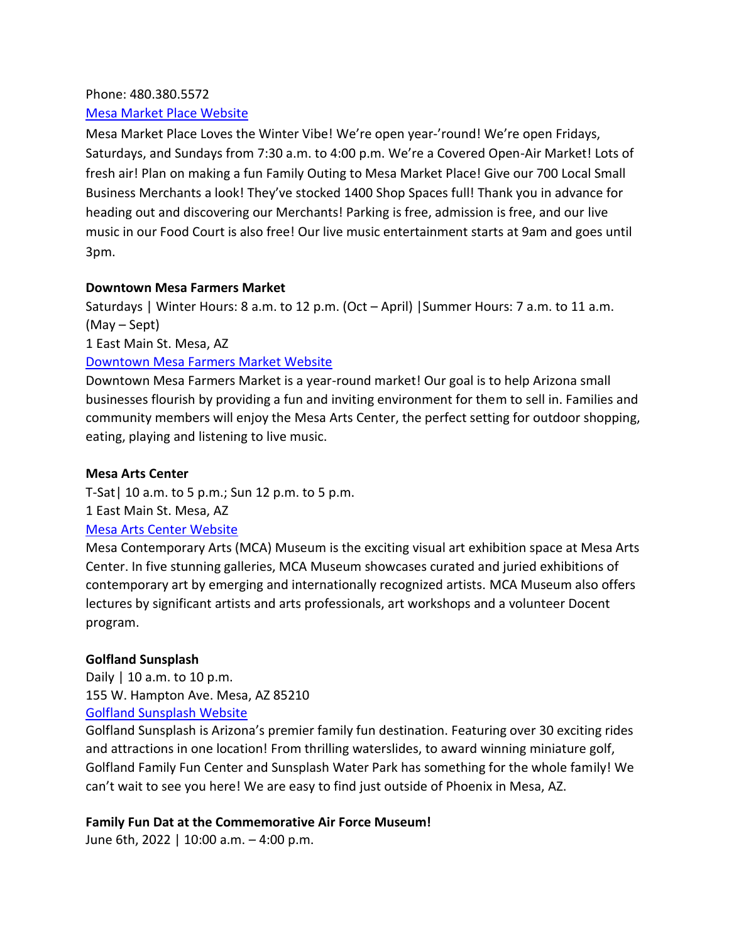### Phone: 480.380.5572

### [Mesa Market Place Website](https://mesamarket.com/)

Mesa Market Place Loves the Winter Vibe! We're open year-'round! We're open Fridays, Saturdays, and Sundays from 7:30 a.m. to 4:00 p.m. We're a Covered Open-Air Market! Lots of fresh air! Plan on making a fun Family Outing to Mesa Market Place! Give our 700 Local Small Business Merchants a look! They've stocked 1400 Shop Spaces full! Thank you in advance for heading out and discovering our Merchants! Parking is free, admission is free, and our live music in our Food Court is also free! Our live music entertainment starts at 9am and goes until 3pm.

### **Downtown Mesa Farmers Market**

Saturdays | Winter Hours: 8 a.m. to 12 p.m. (Oct – April) |Summer Hours: 7 a.m. to 11 a.m. (May – Sept)

1 East Main St. Mesa, AZ

## [Downtown Mesa Farmers Market Website](https://dtmesafarmersmarket.com/)

Downtown Mesa Farmers Market is a year-round market! Our goal is to help Arizona small businesses flourish by providing a fun and inviting environment for them to sell in. Families and community members will enjoy the [Mesa Arts Center,](https://www.mesaartscenter.com/) the perfect setting for outdoor shopping, eating, playing and listening to live music.

### **Mesa Arts Center**

T-Sat| 10 a.m. to 5 p.m.; Sun 12 p.m. to 5 p.m.

1 East Main St. Mesa, AZ

## [Mesa Arts Center Website](https://www.mesaartscenter.com/)

Mesa Contemporary Arts (MCA) Museum is the exciting visual art exhibition space at Mesa Arts Center. In five stunning galleries, MCA Museum showcases curated and juried exhibitions of contemporary art by emerging and internationally recognized artists. MCA Museum also offers lectures by significant artists and arts professionals, art workshops and a volunteer Docent program.

## **Golfland Sunsplash**

Daily | 10 a.m. to 10 p.m. 155 W. Hampton Ave. Mesa, AZ 85210 [Golfland Sunsplash Website](https://www.golfland.com/mesa/)

Golfland Sunsplash is Arizona's premier family fun destination. Featuring over 30 exciting rides and attractions in one location! From thrilling waterslides, to award winning miniature golf, Golfland Family Fun Center and Sunsplash Water Park has something for the whole family! We can't wait to see you here! We are easy to find just outside of Phoenix in Mesa, AZ.

#### **Family Fun Dat at the Commemorative Air Force Museum!**

June 6th, 2022 | 10:00 a.m. – 4:00 p.m.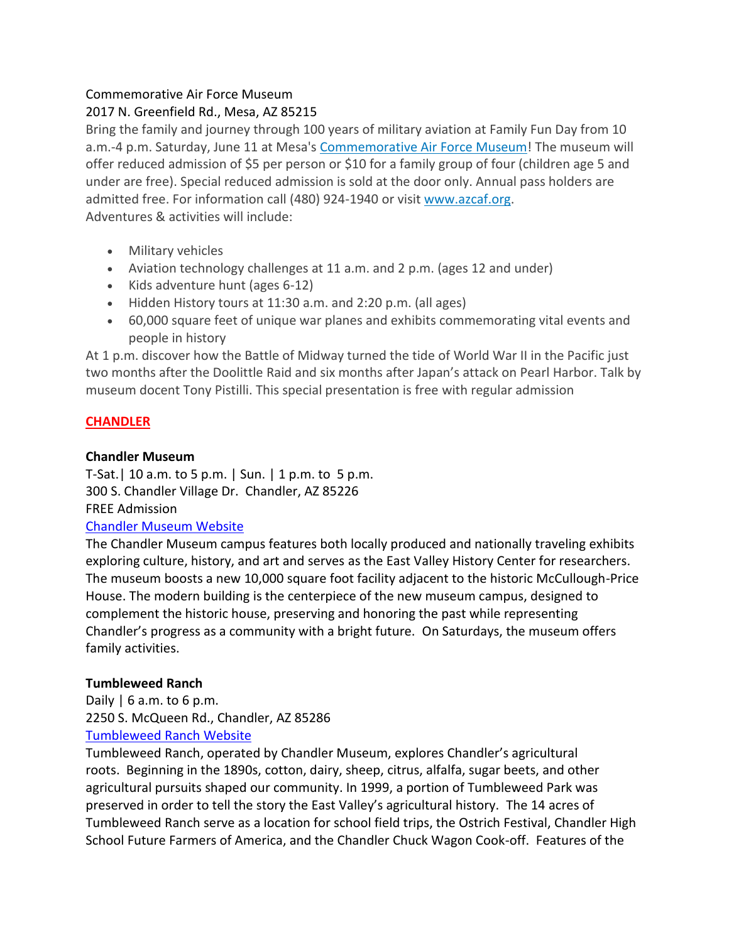## Commemorative Air Force Museum

## 2017 N. Greenfield Rd., Mesa, AZ 85215

Bring the family and journey through 100 years of military aviation at Family Fun Day from 10 a.m.-4 p.m. Saturday, June 11 at Mesa's [Commemorative Air Force Museum!](https://www.azcaf.org/) The museum will offer reduced admission of \$5 per person or \$10 for a family group of four (children age 5 and under are free). Special reduced admission is sold at the door only. Annual pass holders are admitted free. For information call (480) 924-1940 or visit [www.azcaf.org.](https://www.azcaf.org/) Adventures & activities will include:

- Military vehicles
- Aviation technology challenges at 11 a.m. and 2 p.m. (ages 12 and under)
- Kids adventure hunt (ages 6-12)
- Hidden History tours at 11:30 a.m. and 2:20 p.m. (all ages)
- 60,000 square feet of unique war planes and exhibits commemorating vital events and people in history

At 1 p.m. discover how the Battle of Midway turned the tide of World War II in the Pacific just two months after the Doolittle Raid and six months after Japan's attack on Pearl Harbor. Talk by museum docent Tony Pistilli. This special presentation is free with regular admission

## **CHANDLER**

### **Chandler Museum**

T-Sat.| 10 a.m. to 5 p.m. | Sun. | 1 p.m. to 5 p.m. 300 S. Chandler Village Dr. Chandler, AZ 85226 FREE Admission

## [Chandler Museum Website](https://www.chandleraz.gov/explore/arts-and-culture/chandler-museum?pageid=996)

The Chandler Museum campus features both locally produced and nationally traveling exhibits exploring culture, history, and art and serves as the East Valley History Center for researchers. The museum boosts a new 10,000 square foot facility adjacent to the historic McCullough-Price House. The modern building is the centerpiece of the new museum campus, designed to complement the historic house, preserving and honoring the past while representing Chandler's progress as a community with a bright future. On Saturdays, the museum offers family activities.

## **Tumbleweed Ranch**

Daily  $\vert$  6 a.m. to 6 p.m. 2250 S. McQueen Rd., Chandler, AZ 85286 [Tumbleweed Ranch Website](https://www.chandleraz.gov/explore/arts-and-culture/chandler-museum/about-us/tumbleweed-ranch)

Tumbleweed Ranch, operated by Chandler Museum, explores Chandler's agricultural roots. Beginning in the 1890s, cotton, dairy, sheep, citrus, alfalfa, sugar beets, and other agricultural pursuits shaped our community. In 1999, a portion of Tumbleweed Park was preserved in order to tell the story the East Valley's agricultural history. The 14 acres of Tumbleweed Ranch serve as a location for school field trips, the Ostrich Festival, Chandler High School Future Farmers of America, and the Chandler Chuck Wagon Cook-off. Features of the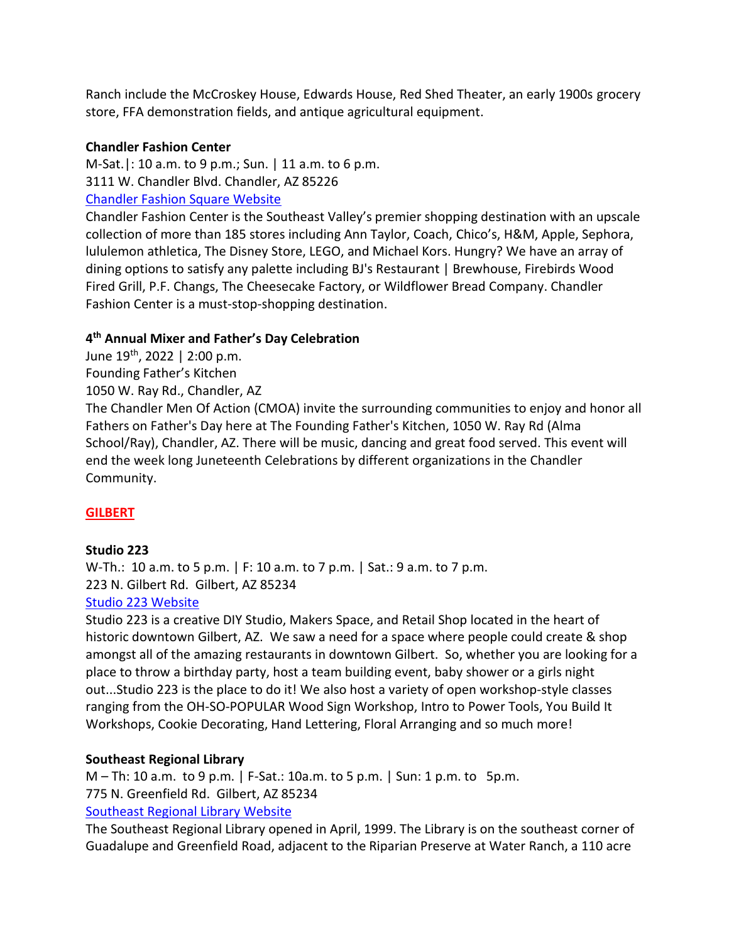Ranch include the McCroskey House, Edwards House, Red Shed Theater, an early 1900s grocery store, FFA demonstration fields, and antique agricultural equipment.

## **Chandler Fashion Center**

M-Sat.|: 10 a.m. to 9 p.m.; Sun. | 11 a.m. to 6 p.m. 3111 W. Chandler Blvd. Chandler, AZ 85226 [Chandler Fashion Square Website](https://www.shopchandlerfashioncenter.com/)

Chandler Fashion Center is the Southeast Valley's premier shopping destination with an upscale collection of more than 185 stores including Ann Taylor, Coach, Chico's, H&M, Apple, Sephora, lululemon athletica, The Disney Store, LEGO, and Michael Kors. Hungry? We have an array of dining options to satisfy any palette including BJ's Restaurant | Brewhouse, Firebirds Wood Fired Grill, P.F. Changs, The Cheesecake Factory, or Wildflower Bread Company. Chandler Fashion Center is a must-stop-shopping destination.

## **4 th Annual Mixer and Father's Day Celebration**

- June 19th, 2022 | 2:00 p.m.
- Founding Father's Kitchen
- 1050 W. Ray Rd., Chandler, AZ

The Chandler Men Of Action (CMOA) invite the surrounding communities to enjoy and honor all Fathers on Father's Day here at The Founding Father's Kitchen, 1050 W. Ray Rd (Alma School/Ray), Chandler, AZ. There will be music, dancing and great food served. This event will end the week long Juneteenth Celebrations by different organizations in the Chandler Community.

## **GILBERT**

#### **Studio 223**

W-Th.: 10 a.m. to 5 p.m. | F: 10 a.m. to 7 p.m. | Sat.: 9 a.m. to 7 p.m. 223 N. Gilbert Rd. Gilbert, AZ 85234 [Studio 223 Website](https://studio223az.com/)

Studio 223 is a creative DIY Studio, Makers Space, and Retail Shop located in the heart of historic downtown Gilbert, AZ. We saw a need for a space where people could create & shop amongst all of the amazing restaurants in downtown Gilbert. So, whether you are looking for a place to throw a birthday party, host a team building event, baby shower or a girls night out...Studio 223 is the place to do it! We also host a variety of open workshop-style classes ranging from the OH-SO-POPULAR Wood Sign Workshop, Intro to Power Tools, You Build It Workshops, Cookie Decorating, Hand Lettering, Floral Arranging and so much more!

#### **Southeast Regional Library**

M – Th: 10 a.m. to 9 p.m. | F-Sat.: 10a.m. to 5 p.m. | Sun: 1 p.m. to 5p.m. 775 N. Greenfield Rd. Gilbert, AZ 85234 [Southeast Regional Library Website](https://mcldaz.org/locations/southeast/)

The Southeast Regional Library opened in April, 1999. The Library is on the southeast corner of Guadalupe and Greenfield Road, adjacent to the Riparian Preserve at Water Ranch, a 110 acre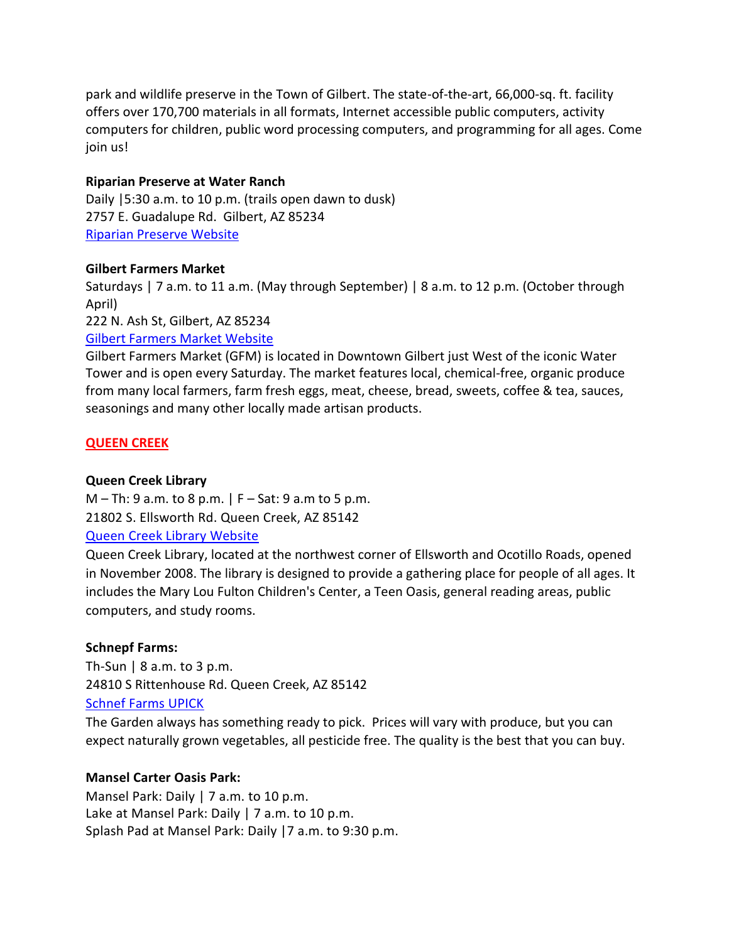park and wildlife preserve in the Town of Gilbert. The state-of-the-art, 66,000-sq. ft. facility offers over 170,700 materials in all formats, Internet accessible public computers, activity computers for children, public word processing computers, and programming for all ages. Come join us!

### **Riparian Preserve at Water Ranch**

Daily |5:30 a.m. to 10 p.m. (trails open dawn to dusk) 2757 E. Guadalupe Rd. Gilbert, AZ 85234 [Riparian Preserve Website](https://www.gilbertaz.gov/departments/parks-and-recreation/riparian-preserve-at-water-ranch)

#### **Gilbert Farmers Market**

Saturdays | 7 a.m. to 11 a.m. (May through September) | 8 a.m. to 12 p.m. (October through April)

222 N. Ash St, Gilbert, AZ 85234

### [Gilbert Farmers Market Website](https://gilbertmarket.com/)

Gilbert Farmers Market (GFM) is located in Downtown Gilbert just West of the iconic Water Tower and is open every Saturday. The market features local, chemical-free, organic produce from many local farmers, farm fresh eggs, meat, cheese, bread, sweets, coffee & tea, sauces, seasonings and many other locally made artisan products.

#### **QUEEN CREEK**

## **Queen Creek Library**

 $M - Th: 9$  a.m. to 8 p.m.  $|F - Sat: 9$  a.m to 5 p.m. 21802 S. Ellsworth Rd. Queen Creek, AZ 85142 [Queen Creek Library Website](https://www.queencreekaz.gov/community/library)

Queen Creek Library, located at the northwest corner of Ellsworth and Ocotillo Roads, opened in November 2008. The library is designed to provide a gathering place for people of all ages. It includes the Mary Lou Fulton Children's Center, a Teen Oasis, general reading areas, public computers, and study rooms.

## **Schnepf Farms:**

Th-Sun  $| 8$  a.m. to 3 p.m. 24810 S Rittenhouse Rd. Queen Creek, AZ 85142 [Schnef Farms UPICK](https://schnepffarms.com/u-pick-organic-gardens/?v=e748b7c8fd06)

The Garden always has something ready to pick. Prices will vary with produce, but you can expect naturally grown vegetables, all pesticide free. The quality is the best that you can buy.

#### **Mansel Carter Oasis Park:**

Mansel Park: Daily | 7 a.m. to 10 p.m. Lake at Mansel Park: Daily | 7 a.m. to 10 p.m. Splash Pad at Mansel Park: Daily |7 a.m. to 9:30 p.m.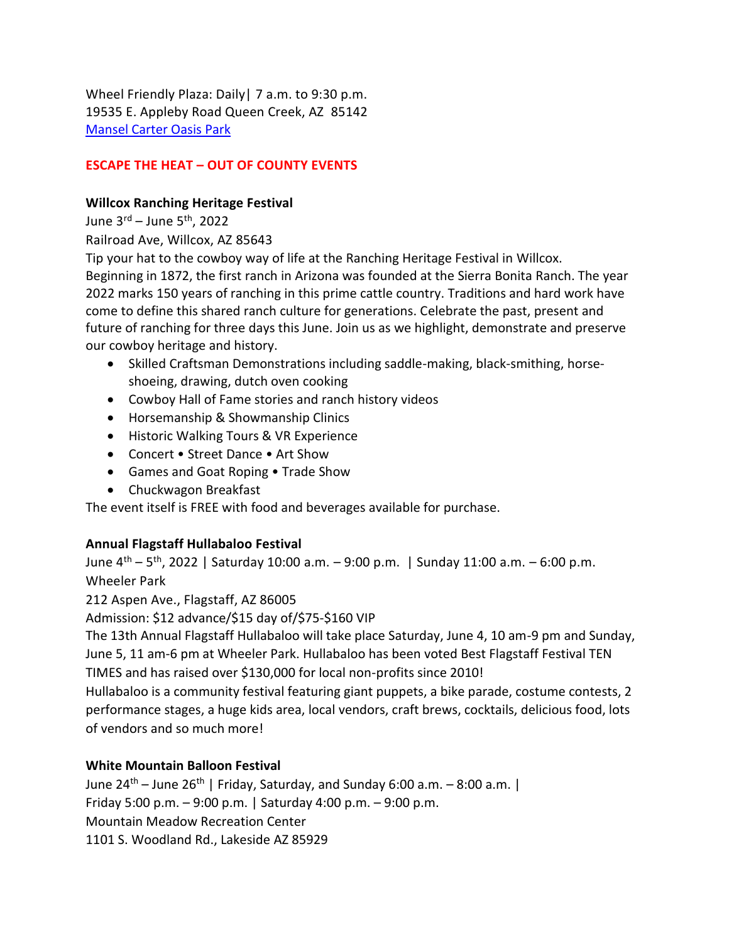Wheel Friendly Plaza: Daily| 7 a.m. to 9:30 p.m. 19535 E. Appleby Road Queen Creek, AZ 85142 [Mansel Carter Oasis Park](https://www.queencreekaz.gov/departments/parks-recreation/parks-and-recreation-master-plan-update/mansel-carter-oasis-park)

# **ESCAPE THE HEAT – OUT OF COUNTY EVENTS**

### **Willcox Ranching Heritage Festival**

June  $3^{\text{rd}}$  – June  $5^{\text{th}}$ , 2022

Railroad Ave, Willcox, AZ 85643

Tip your hat to the cowboy way of life at the Ranching Heritage Festival in Willcox. Beginning in 1872, the first ranch in Arizona was founded at the Sierra Bonita Ranch. The year 2022 marks 150 years of ranching in this prime cattle country. Traditions and hard work have come to define this shared ranch culture for generations. Celebrate the past, present and future of ranching for three days this June. Join us as we highlight, demonstrate and preserve our cowboy heritage and history.

- Skilled Craftsman Demonstrations including saddle-making, black-smithing, horseshoeing, drawing, dutch oven cooking
- Cowboy Hall of Fame stories and ranch history videos
- Horsemanship & Showmanship Clinics
- Historic Walking Tours & VR Experience
- Concert Street Dance Art Show
- Games and Goat Roping Trade Show
- Chuckwagon Breakfast

The event itself is FREE with food and beverages available for purchase.

## **Annual Flagstaff Hullabaloo Festival**

June 4<sup>th</sup> – 5<sup>th</sup>, 2022 | Saturday 10:00 a.m. – 9:00 p.m. | Sunday 11:00 a.m. – 6:00 p.m. Wheeler Park

212 Aspen Ave., Flagstaff, AZ 86005

Admission: \$12 advance/\$15 day of/\$75-\$160 VIP

The 13th Annual Flagstaff Hullabaloo will take place Saturday, June 4, 10 am-9 pm and Sunday, June 5, 11 am-6 pm at Wheeler Park. Hullabaloo has been voted Best Flagstaff Festival TEN TIMES and has raised over \$130,000 for local non-profits since 2010!

Hullabaloo is a community festival featuring giant puppets, a bike parade, costume contests, 2 performance stages, a huge kids area, local vendors, craft brews, cocktails, delicious food, lots of vendors and so much more!

## **White Mountain Balloon Festival**

June  $24^{th}$  – June  $26^{th}$  | Friday, Saturday, and Sunday 6:00 a.m. – 8:00 a.m. | Friday 5:00 p.m. – 9:00 p.m. | Saturday 4:00 p.m. – 9:00 p.m. Mountain Meadow Recreation Center 1101 S. Woodland Rd., Lakeside AZ 85929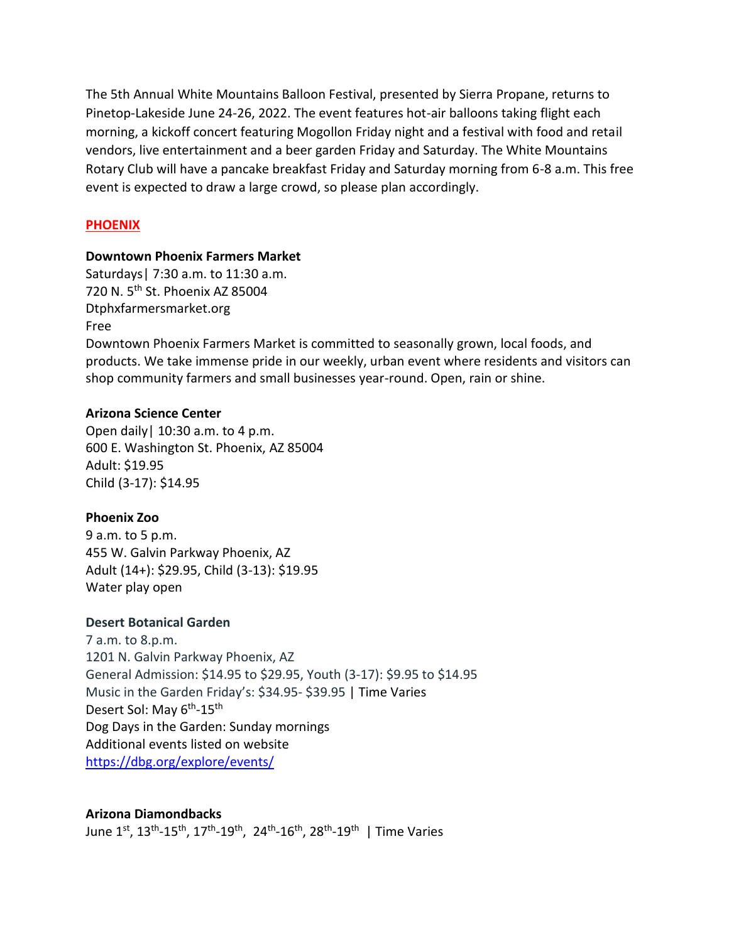The 5th Annual White Mountains Balloon Festival, presented by Sierra Propane, returns to Pinetop-Lakeside June 24-26, 2022. The event features hot-air balloons taking flight each morning, a kickoff concert featuring Mogollon Friday night and a festival with food and retail vendors, live entertainment and a beer garden Friday and Saturday. The White Mountains Rotary Club will have a pancake breakfast Friday and Saturday morning from 6-8 a.m. This free event is expected to draw a large crowd, so please plan accordingly.

### **PHOENIX**

#### **Downtown Phoenix Farmers Market**

Saturdays| 7:30 a.m. to 11:30 a.m. 720 N. 5<sup>th</sup> St. Phoenix AZ 85004 Dtphxfarmersmarket.org Free

Downtown Phoenix Farmers Market is committed to seasonally grown, local foods, and products. We take immense pride in our weekly, urban event where residents and visitors can shop community farmers and small businesses year-round. Open, rain or shine.

#### **Arizona Science Center**

Open daily| 10:30 a.m. to 4 p.m. 600 E. Washington St. Phoenix, AZ 85004 Adult: \$19.95 Child (3-17): \$14.95

#### **Phoenix Zoo**

9 a.m. to 5 p.m. 455 W. Galvin Parkway Phoenix, AZ Adult (14+): \$29.95, Child (3-13): \$19.95 Water play open

#### **Desert Botanical Garden**

7 a.m. to 8.p.m. 1201 N. Galvin Parkway Phoenix, AZ General Admission: \$14.95 to \$29.95, Youth (3-17): \$9.95 to \$14.95 Music in the Garden Friday's: \$34.95- \$39.95 | Time Varies Desert Sol: May 6<sup>th</sup>-15<sup>th</sup> Dog Days in the Garden: Sunday mornings Additional events listed on website <https://dbg.org/explore/events/>

#### **Arizona Diamondbacks**

June 1st, 13<sup>th</sup>-15<sup>th</sup>, 17<sup>th</sup>-19<sup>th</sup>, 24<sup>th</sup>-16<sup>th</sup>, 28<sup>th</sup>-19<sup>th</sup> | Time Varies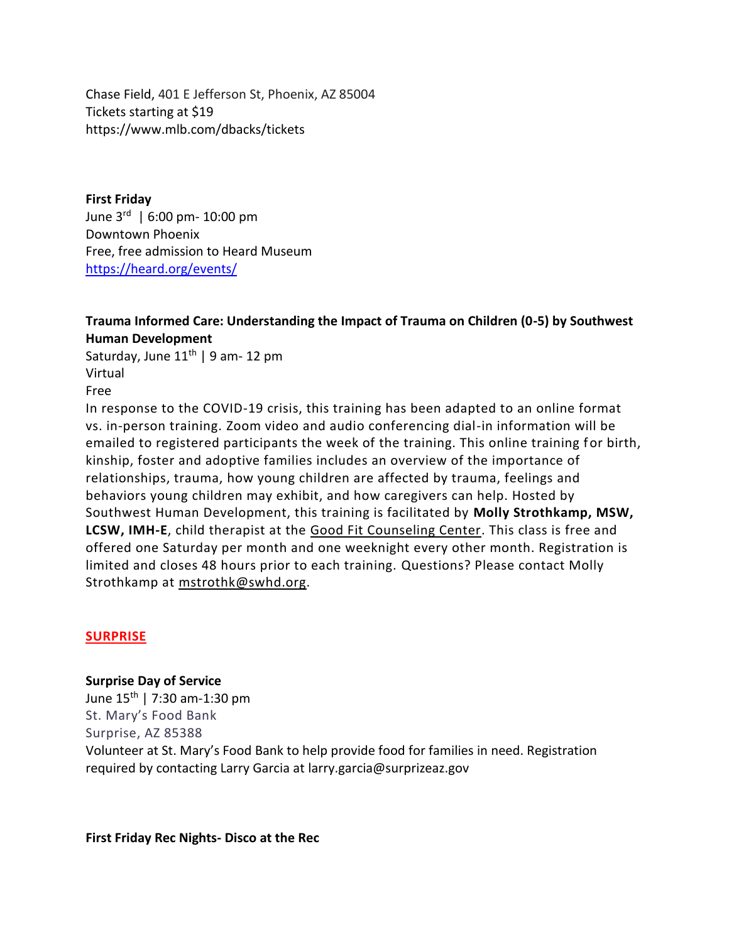Chase Field, 401 E Jefferson St, Phoenix, AZ 85004 Tickets starting at \$19 https://www.mlb.com/dbacks/tickets

**First Friday** June 3rd | 6:00 pm- 10:00 pm Downtown Phoenix Free, free admission to Heard Museum <https://heard.org/events/>

## **Trauma Informed Care: Understanding the Impact of Trauma on Children (0-5) by Southwest Human Development**

Saturday, June  $11^{th}$  | 9 am- 12 pm Virtual Free

In response to the COVID-19 crisis, this training has been adapted to an online format vs. in-person training. Zoom video and audio conferencing dial-in information will be emailed to registered participants the week of the training. This online training for birth, kinship, foster and adoptive families includes an overview of the importance of relationships, trauma, how young children are affected by trauma, feelings and behaviors young children may exhibit, and how caregivers can help. Hosted by Southwest Human Development, this training is facilitated by **Molly Strothkamp, MSW, LCSW, IMH-E**, child therapist at the [Good Fit Counseling Center.](https://www.swhd.org/programs/health-and-development/good-fit-counseling/) This class is free and offered one Saturday per month and one weeknight every other month. Registration is limited and closes 48 hours prior to each training. Questions? Please contact Molly Strothkamp at [mstrothk@swhd.org.](mailto:mstrothk@swhd.org)

## **SURPRISE**

**Surprise Day of Service** June  $15^{th}$  | 7:30 am-1:30 pm St. Mary's Food Bank Surprise, AZ 85388 Volunteer at St. Mary's Food Bank to help provide food for families in need. Registration required by contacting Larry Garcia at larry.garcia@surprizeaz.gov

**First Friday Rec Nights- Disco at the Rec**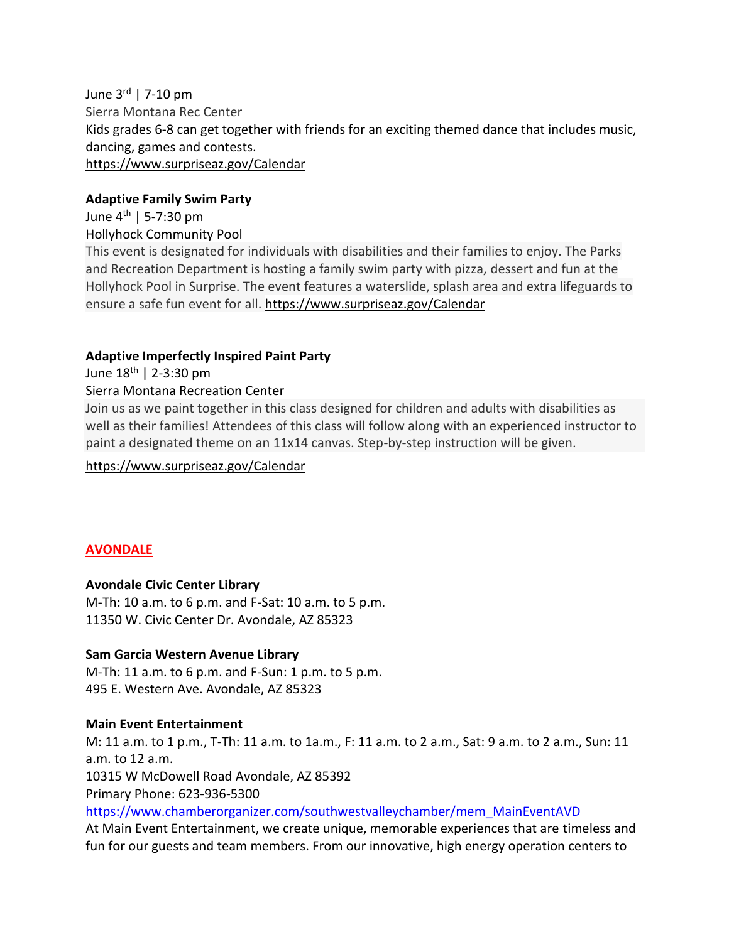June 3rd | 7-10 pm Sierra Montana Rec Center Kids grades 6-8 can get together with friends for an exciting themed dance that includes music, dancing, games and contests. [https://www.surpriseaz.gov/Calendar](https://www.surpriseaz.gov/Calendar.aspx?EID=9454&month=3&year=2022&day=22&calType=0)

#### **Adaptive Family Swim Party**

June 4th | 5-7:30 pm Hollyhock Community Pool

This event is designated for individuals with disabilities and their families to enjoy. The Parks and Recreation Department is hosting a family swim party with pizza, dessert and fun at the Hollyhock Pool in Surprise. The event features a waterslide, splash area and extra lifeguards to ensure a safe fun event for all. [https://www.surpriseaz.gov/Calendar](https://www.surpriseaz.gov/Calendar.aspx?EID=9454&month=3&year=2022&day=22&calType=0)

#### **Adaptive Imperfectly Inspired Paint Party**

June 18th | 2-3:30 pm

#### Sierra Montana Recreation Center

Join us as we paint together in this class designed for children and adults with disabilities as well as their families! Attendees of this class will follow along with an experienced instructor to paint a designated theme on an 11x14 canvas. Step-by-step instruction will be given.

[https://www.surpriseaz.gov/Calendar](https://www.surpriseaz.gov/Calendar.aspx?EID=9454&month=3&year=2022&day=22&calType=0)

#### **AVONDALE**

#### **Avondale Civic Center Library**

M-Th: 10 a.m. to 6 p.m. and F-Sat: 10 a.m. to 5 p.m. 11350 W. Civic Center Dr. Avondale, AZ 85323

#### **Sam Garcia Western Avenue Library**

M-Th: 11 a.m. to 6 p.m. and F-Sun: 1 p.m. to 5 p.m. 495 E. Western Ave. Avondale, AZ 85323

#### **Main Event Entertainment**

M: 11 a.m. to 1 p.m., T-Th: 11 a.m. to 1a.m., F: 11 a.m. to 2 a.m., Sat: 9 a.m. to 2 a.m., Sun: 11 a.m. to 12 a.m. 10315 W McDowell Road Avondale, AZ 85392 Primary Phone: 623-936-5300 [https://www.chamberorganizer.com/southwestvalleychamber/mem\\_MainEventAVD](https://www.chamberorganizer.com/southwestvalleychamber/mem_MainEventAVD)

At Main Event Entertainment, we create unique, memorable experiences that are timeless and fun for our guests and team members. From our innovative, high energy operation centers to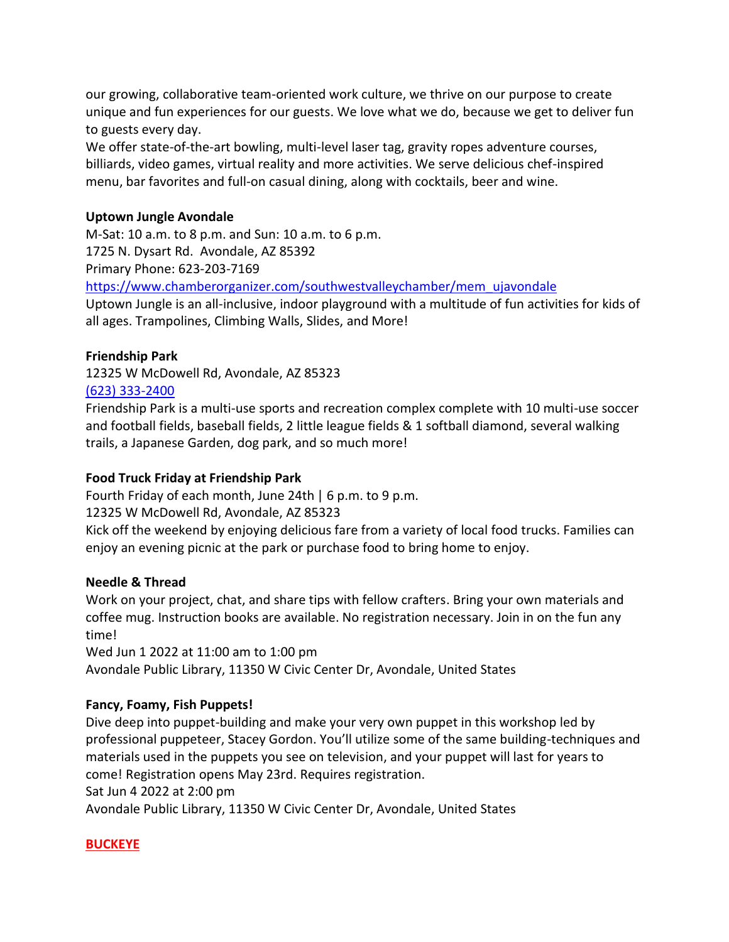our growing, collaborative team-oriented work culture, we thrive on our purpose to create unique and fun experiences for our guests. We love what we do, because we get to deliver fun to guests every day.

We offer state-of-the-art bowling, multi-level laser tag, gravity ropes adventure courses, billiards, video games, virtual reality and more activities. We serve delicious chef-inspired menu, bar favorites and full-on casual dining, along with cocktails, beer and wine.

### **Uptown Jungle Avondale**

M-Sat: 10 a.m. to 8 p.m. and Sun: 10 a.m. to 6 p.m. 1725 N. Dysart Rd. Avondale, AZ 85392 Primary Phone: 623-203-7169 [https://www.chamberorganizer.com/southwestvalleychamber/mem\\_ujavondale](https://www.chamberorganizer.com/southwestvalleychamber/mem_ujavondale)

Uptown Jungle is an all-inclusive, indoor playground with a multitude of fun activities for kids of all ages. Trampolines, Climbing Walls, Slides, and More!

### **Friendship Park**

12325 W McDowell Rd, Avondale, AZ 85323 [\(623\) 333-2400](tel:6233332400)

Friendship Park is a multi-use sports and recreation complex complete with 10 multi-use soccer and football fields, baseball fields, 2 little league fields & 1 softball diamond, several walking trails, a Japanese Garden, dog park, and so much more!

### **Food Truck Friday at Friendship Park**

Fourth Friday of each month, June 24th | 6 p.m. to 9 p.m.

12325 W McDowell Rd, Avondale, AZ 85323

Kick off the weekend by enjoying delicious fare from a variety of local food trucks. Families can enjoy an evening picnic at the park or purchase food to bring home to enjoy.

#### **Needle & Thread**

Work on your project, chat, and share tips with fellow crafters. Bring your own materials and coffee mug. Instruction books are available. No registration necessary. Join in on the fun any time!

Wed Jun 1 2022 at 11:00 am to 1:00 pm Avondale Public Library, 11350 W Civic Center Dr, Avondale, United States

## **Fancy, Foamy, Fish Puppets!**

Dive deep into puppet-building and make your very own puppet in this workshop led by professional puppeteer, Stacey Gordon. You'll utilize some of the same building-techniques and materials used in the puppets you see on television, and your puppet will last for years to come! Registration opens May 23rd. Requires registration.

Sat Jun 4 2022 at 2:00 pm

Avondale Public Library, 11350 W Civic Center Dr, Avondale, United States

## **BUCKEYE**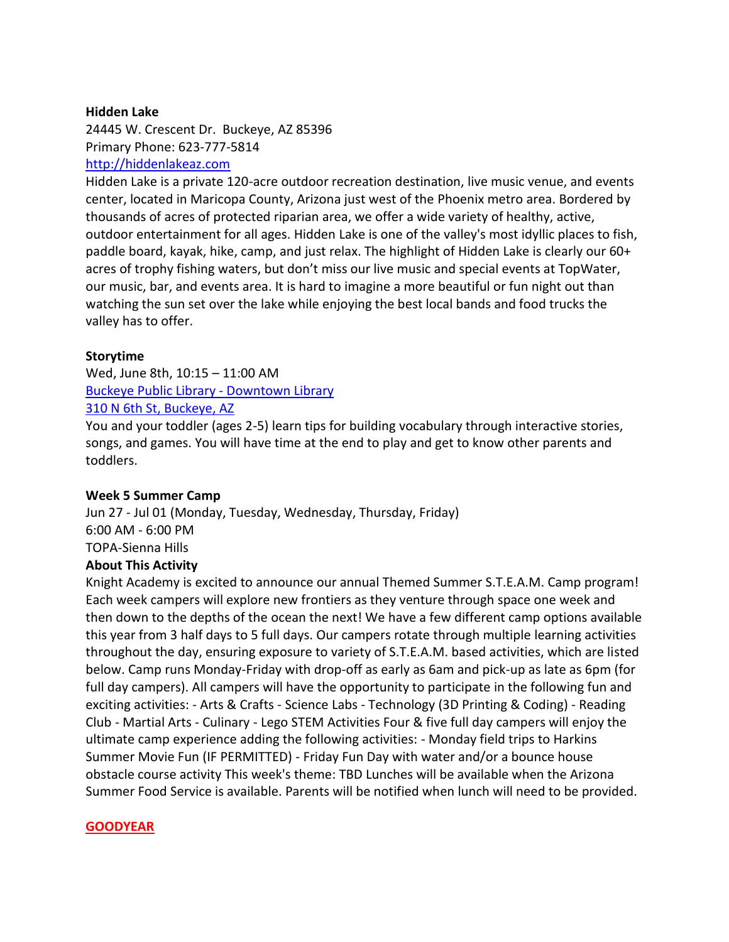#### **Hidden Lake**

24445 W. Crescent Dr. Buckeye, AZ 85396 Primary Phone: 623-777-5814 [http://hiddenlakeaz.com](http://hiddenlakeaz.com/)

Hidden Lake is a private 120-acre outdoor recreation destination, live music venue, and events center, located in Maricopa County, Arizona just west of the Phoenix metro area. Bordered by thousands of acres of protected riparian area, we offer a wide variety of healthy, active, outdoor entertainment for all ages. Hidden Lake is one of the valley's most idyllic places to fish, paddle board, kayak, hike, camp, and just relax. The highlight of Hidden Lake is clearly our 60+ acres of trophy fishing waters, but don't miss our live music and special events at TopWater, our music, bar, and events area. It is hard to imagine a more beautiful or fun night out than watching the sun set over the lake while enjoying the best local bands and food trucks the valley has to offer.

#### **Storytime**

Wed, June 8th, 10:15 – 11:00 A[M](https://www.google.com/search?q=buckeye+july+events&rlz=1C5CHFA_enUS885US885&sxsrf=ALeKk00dQeYJWOQpSXjyanw4tqBD4pGDCg:1624901395919&ei=EwfaYPHBN9Sv0PEP8MuP4A0&oq=buckeye+july+events&gs_lcp=Cgdnd3Mtd2l6EAMyBwgjELADECdKBAhBGAFQ7BZYsxxg0x1oAnAAeACAAacCiAGHDZIBBTAuMi41mAEAoAEBqgEHZ3dzLXdpesgBAcABAQ&sclient=gws-wiz&uact=5&ibp=htl;events&rciv=evn&sa=X&ved=2ahUKEwiU4Y2-7rrxAhVKip4KHW3MB2wQ5bwDegQIDxAB) [Buckeye Public Library -](https://www.google.com/search?q=buckeye+july+events&rlz=1C5CHFA_enUS885US885&sxsrf=ALeKk00dQeYJWOQpSXjyanw4tqBD4pGDCg:1624901395919&ei=EwfaYPHBN9Sv0PEP8MuP4A0&oq=buckeye+july+events&gs_lcp=Cgdnd3Mtd2l6EAMyBwgjELADECdKBAhBGAFQ7BZYsxxg0x1oAnAAeACAAacCiAGHDZIBBTAuMi41mAEAoAEBqgEHZ3dzLXdpesgBAcABAQ&sclient=gws-wiz&uact=5&ibp=htl;events&rciv=evn&sa=X&ved=2ahUKEwiU4Y2-7rrxAhVKip4KHW3MB2wQ5bwDegQIDxAB) Downtown Library [310 N 6th St, Buckeye, AZ](https://www.google.com/search?q=buckeye+july+events&rlz=1C5CHFA_enUS885US885&sxsrf=ALeKk00dQeYJWOQpSXjyanw4tqBD4pGDCg:1624901395919&ei=EwfaYPHBN9Sv0PEP8MuP4A0&oq=buckeye+july+events&gs_lcp=Cgdnd3Mtd2l6EAMyBwgjELADECdKBAhBGAFQ7BZYsxxg0x1oAnAAeACAAacCiAGHDZIBBTAuMi41mAEAoAEBqgEHZ3dzLXdpesgBAcABAQ&sclient=gws-wiz&uact=5&ibp=htl;events&rciv=evn&sa=X&ved=2ahUKEwiU4Y2-7rrxAhVKip4KHW3MB2wQ5bwDegQIDxAB)

You and your toddler (ages 2-5) learn tips for building vocabulary through interactive stories, songs, and games. You will have time at the end to play and get to know other parents and toddlers.

#### **Week 5 Summer Camp**

Jun 27 - Jul 01 (Monday, Tuesday, Wednesday, Thursday, Friday) 6:00 AM - 6:00 PM TOPA-Sienna Hills **About This Activity**

Knight Academy is excited to announce our annual Themed Summer S.T.E.A.M. Camp program! Each week campers will explore new frontiers as they venture through space one week and

then down to the depths of the ocean the next! We have a few different camp options available this year from 3 half days to 5 full days. Our campers rotate through multiple learning activities throughout the day, ensuring exposure to variety of S.T.E.A.M. based activities, which are listed below. Camp runs Monday-Friday with drop-off as early as 6am and pick-up as late as 6pm (for full day campers). All campers will have the opportunity to participate in the following fun and exciting activities: - Arts & Crafts - Science Labs - Technology (3D Printing & Coding) - Reading Club - Martial Arts - Culinary - Lego STEM Activities Four & five full day campers will enjoy the ultimate camp experience adding the following activities: - Monday field trips to Harkins Summer Movie Fun (IF PERMITTED) - Friday Fun Day with water and/or a bounce house obstacle course activity This week's theme: TBD Lunches will be available when the Arizona Summer Food Service is available. Parents will be notified when lunch will need to be provided.

#### **GOODYEAR**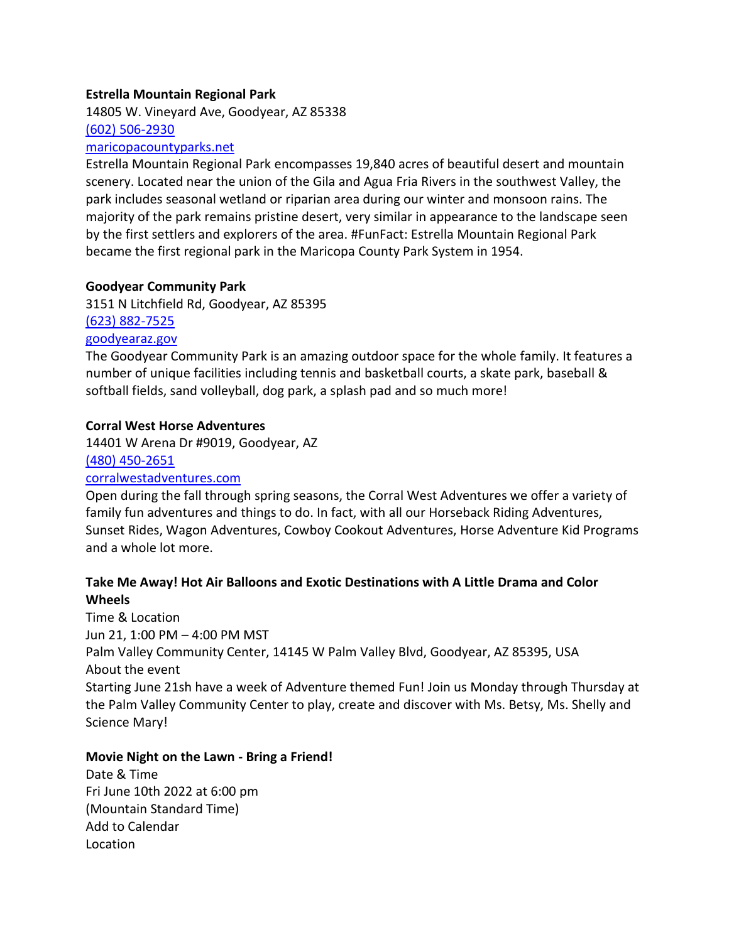#### **Estrella Mountain Regional Park**

14805 W. Vineyard Ave, Goodyear, AZ 85338 [\(602\) 506-2930](tel:6025062930)

#### [maricopacountyparks.net](http://maricopacountyparks.net/)

Estrella Mountain Regional Park encompasses 19,840 acres of beautiful desert and mountain scenery. Located near the union of the Gila and Agua Fria Rivers in the southwest Valley, the park includes seasonal wetland or riparian area during our winter and monsoon rains. The majority of the park remains pristine desert, very similar in appearance to the landscape seen by the first settlers and explorers of the area. #FunFact: Estrella Mountain Regional Park became the first regional park in the Maricopa County Park System in 1954.

#### **Goodyear Community Park**

3151 N Litchfield Rd, Goodyear, AZ 85395 [\(623\) 882-7525](tel:6238827525) [goodyearaz.gov](http://goodyearaz.gov/)

The Goodyear Community Park is an amazing outdoor space for the whole family. It features a number of unique facilities including tennis and basketball courts, a skate park, baseball & softball fields, sand volleyball, dog park, a splash pad and so much more!

#### **Corral West Horse Adventures**

14401 W Arena Dr #9019, Goodyear, AZ [\(480\) 450-2651](tel:4804502651) [corralwestadventures.com](http://corralwestadventures.com/)

## Open during the fall through spring seasons, the Corral West Adventures we offer a variety of family fun adventures and things to do. In fact, with all our Horseback Riding Adventures, Sunset Rides, Wagon Adventures, Cowboy Cookout Adventures, Horse Adventure Kid Programs and a whole lot more.

## **Take Me Away! Hot Air Balloons and Exotic Destinations with A Little Drama and Color Wheels**

Time & Location Jun 21, 1:00 PM – 4:00 PM MST Palm Valley Community Center, 14145 W Palm Valley Blvd, Goodyear, AZ 85395, USA About the event Starting June 21sh have a week of Adventure themed Fun! Join us Monday through Thursday at the Palm Valley Community Center to play, create and discover with Ms. Betsy, Ms. Shelly and Science Mary!

#### **Movie Night on the Lawn - Bring a Friend!**

Date & Time Fri June 10th 2022 at 6:00 pm (Mountain Standard Time) Add to Calendar Location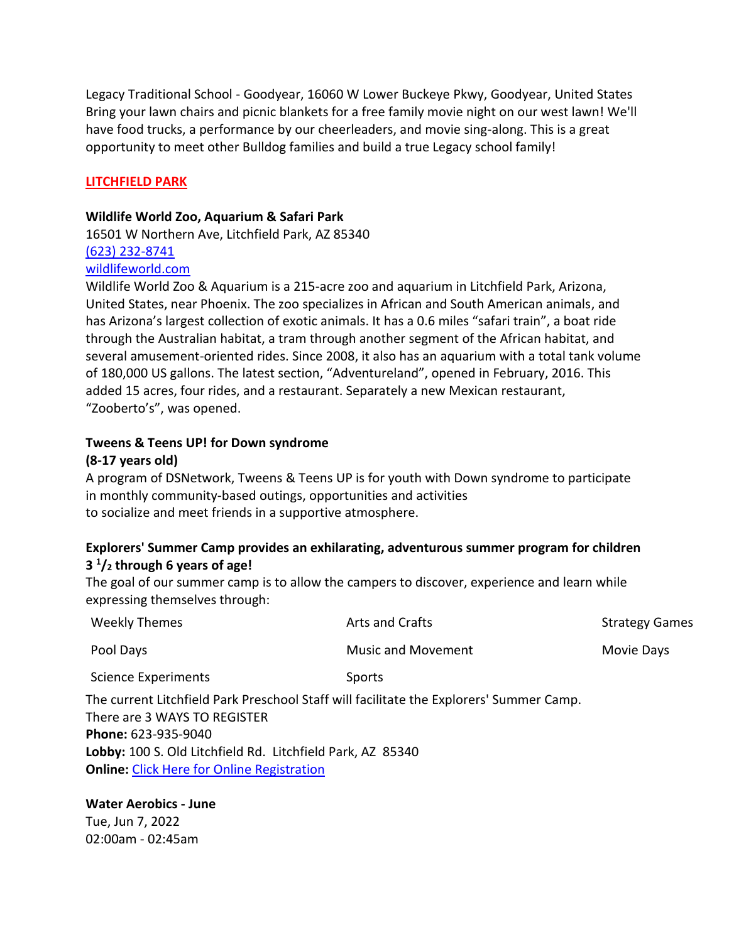Legacy Traditional School - Goodyear, 16060 W Lower Buckeye Pkwy, Goodyear, United States Bring your lawn chairs and picnic blankets for a free family movie night on our west lawn! We'll have food trucks, a performance by our cheerleaders, and movie sing-along. This is a great opportunity to meet other Bulldog families and build a true Legacy school family!

#### **LITCHFIELD PARK**

#### **Wildlife World Zoo, Aquarium & Safari Park**

16501 W Northern Ave, Litchfield Park, AZ 85340 [\(623\) 232-8741](tel:6232328741) [wildlifeworld.com](http://wildlifeworld.com/)

Wildlife World Zoo & Aquarium is a 215-acre zoo and aquarium in Litchfield Park, Arizona, United States, near Phoenix. The zoo specializes in African and South American animals, and has Arizona's largest collection of exotic animals. It has a 0.6 miles "safari train", a boat ride through the Australian habitat, a tram through another segment of the African habitat, and several amusement-oriented rides. Since 2008, it also has an aquarium with a total tank volume of 180,000 US gallons. The latest section, "Adventureland", opened in February, 2016. This added 15 acres, four rides, and a restaurant. Separately a new Mexican restaurant, "Zooberto's", was opened.

# **Tweens & Teens UP! for Down syndrome**

#### **(8-17 years old)**

A program of DSNetwork, Tweens & Teens UP is for youth with Down syndrome to participate in monthly community-based outings, opportunities and activities to socialize and meet friends in a supportive atmosphere.

## **Explorers' Summer Camp provides an exhilarating, adventurous summer program for children 3 1 /<sup>2</sup> through 6 years of age!**

The goal of our summer camp is to allow the campers to discover, experience and learn while expressing themselves through:

| <b>Weekly Themes</b>                                                                                                                                                                                                                                              | Arts and Crafts           | <b>Strategy Games</b> |
|-------------------------------------------------------------------------------------------------------------------------------------------------------------------------------------------------------------------------------------------------------------------|---------------------------|-----------------------|
| Pool Days                                                                                                                                                                                                                                                         | <b>Music and Movement</b> | Movie Days            |
| <b>Science Experiments</b>                                                                                                                                                                                                                                        | <b>Sports</b>             |                       |
| The current Litchfield Park Preschool Staff will facilitate the Explorers' Summer Camp.<br>There are 3 WAYS TO REGISTER<br>Phone: 623-935-9040<br>Lobby: 100 S. Old Litchfield Rd. Litchfield Park, AZ 85340<br><b>Online:</b> Click Here for Online Registration |                           |                       |

#### **Water Aerobics - June** Tue, Jun 7, 2022 02:00am - 02:45am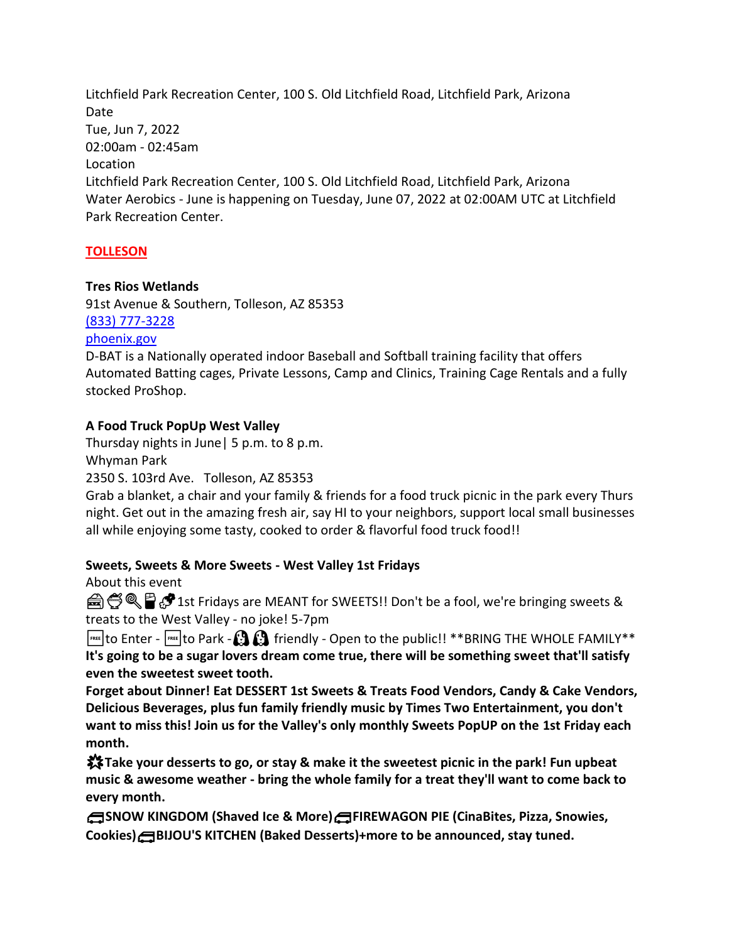Litchfield Park Recreation Center, 100 S. Old Litchfield Road, Litchfield Park, Arizona Date Tue, Jun 7, 2022 02:00am - 02:45am Location Litchfield Park Recreation Center, 100 S. Old Litchfield Road, Litchfield Park, Arizona Water Aerobics - June is happening on Tuesday, June 07, 2022 at 02:00AM UTC at Litchfield Park Recreation Center.

### **TOLLESON**

#### **Tres Rios Wetlands**

91st Avenue & Southern, Tolleson, AZ 85353 [\(833\) 777-3228](tel:8337773228)

[phoenix.gov](http://phoenix.gov/)

D-BAT is a Nationally operated indoor Baseball and Softball training facility that offers Automated Batting cages, Private Lessons, Camp and Clinics, Training Cage Rentals and a fully stocked ProShop.

### **A Food Truck PopUp West Valley**

Thursday nights in June| 5 p.m. to 8 p.m.

Whyman Park

2350 S. 103rd Ave. Tolleson, AZ 85353

Grab a blanket, a chair and your family & friends for a food truck picnic in the park every Thurs night. Get out in the amazing fresh air, say HI to your neighbors, support local small businesses all while enjoying some tasty, cooked to order & flavorful food truck food!!

#### **Sweets, Sweets & More Sweets - West Valley 1st Fridays**

About this event

e 
S Q P P 1st Fridays are MEANT for SWEETS!! Don't be a fool, we're bringing sweets & treats to the West Valley - no joke! 5-7pm

 $\frac{f_{\text{ref}}}{f_{\text{ref}}}$  to Enter -  $\frac{f_{\text{ref}}}{f_{\text{ref}}}$  to Park -  $\Omega$   $\Omega$  friendly - Open to the public!! \*\*BRING THE WHOLE FAMILY\*\* **It's going to be a sugar lovers dream come true, there will be something sweet that'll satisfy even the sweetest sweet tooth.**

**Forget about Dinner! Eat DESSERT 1st Sweets & Treats Food Vendors, Candy & Cake Vendors, Delicious Beverages, plus fun family friendly music by Times Two Entertainment, you don't want to miss this! Join us for the Valley's only monthly Sweets PopUP on the 1st Friday each month.**

**Take your desserts to go, or stay & make it the sweetest picnic in the park! Fun upbeat music & awesome weather - bring the whole family for a treat they'll want to come back to every month.**

**SNOW KINGDOM (Shaved Ice & More)FIREWAGON PIE (CinaBites, Pizza, Snowies, Cookies)BIJOU'S KITCHEN (Baked Desserts)+more to be announced, stay tuned.**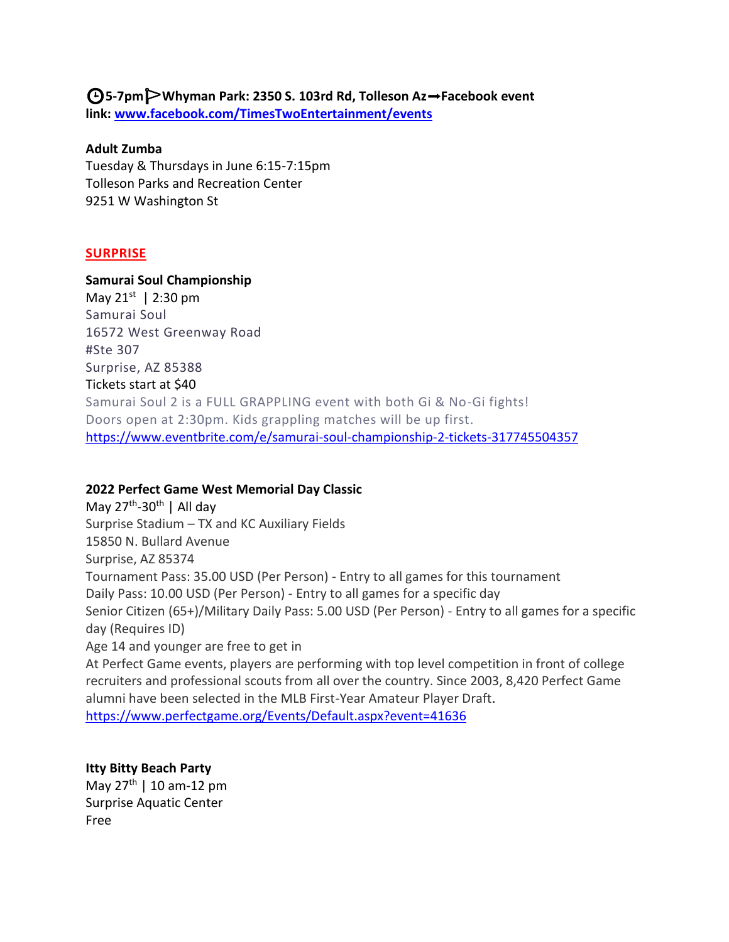**5-7pmWhyman Park: 2350 S. 103rd Rd, Tolleson Az**➡**Facebook event link: [www.facebook.com/TimesTwoEntertainment/events](https://www.facebook.com/TimesTwoEntertainment/events)**

#### **Adult Zumba**

Tuesday & Thursdays in June 6:15-7:15pm Tolleson Parks and Recreation Center 9251 W Washington St

#### **SURPRISE**

#### **Samurai Soul Championship**

May 21<sup>st</sup> | 2:30 pm Samurai Soul 16572 West Greenway Road #Ste 307 Surprise, AZ 85388 Tickets start at \$40 Samurai Soul 2 is a FULL GRAPPLING event with both Gi & No-Gi fights! Doors open at 2:30pm. Kids grappling matches will be up first. <https://www.eventbrite.com/e/samurai-soul-championship-2-tickets-317745504357>

#### **2022 Perfect Game West Memorial Day Classic**

May 27<sup>th</sup>-30<sup>th</sup> | All day Surprise Stadium – TX and KC Auxiliary Fields 15850 N. Bullard Avenue Surprise, AZ 85374 Tournament Pass: 35.00 USD (Per Person) - Entry to all games for this tournament Daily Pass: 10.00 USD (Per Person) - Entry to all games for a specific day Senior Citizen (65+)/Military Daily Pass: 5.00 USD (Per Person) - Entry to all games for a specific day (Requires ID) Age 14 and younger are free to get in At Perfect Game events, players are performing with top level competition in front of college recruiters and professional scouts from all over the country. Since 2003, 8,420 Perfect Game alumni have been selected in the MLB First-Year Amateur Player Draft.

<https://www.perfectgame.org/Events/Default.aspx?event=41636>

#### **Itty Bitty Beach Party**

May  $27^{th}$  | 10 am-12 pm Surprise Aquatic Center Free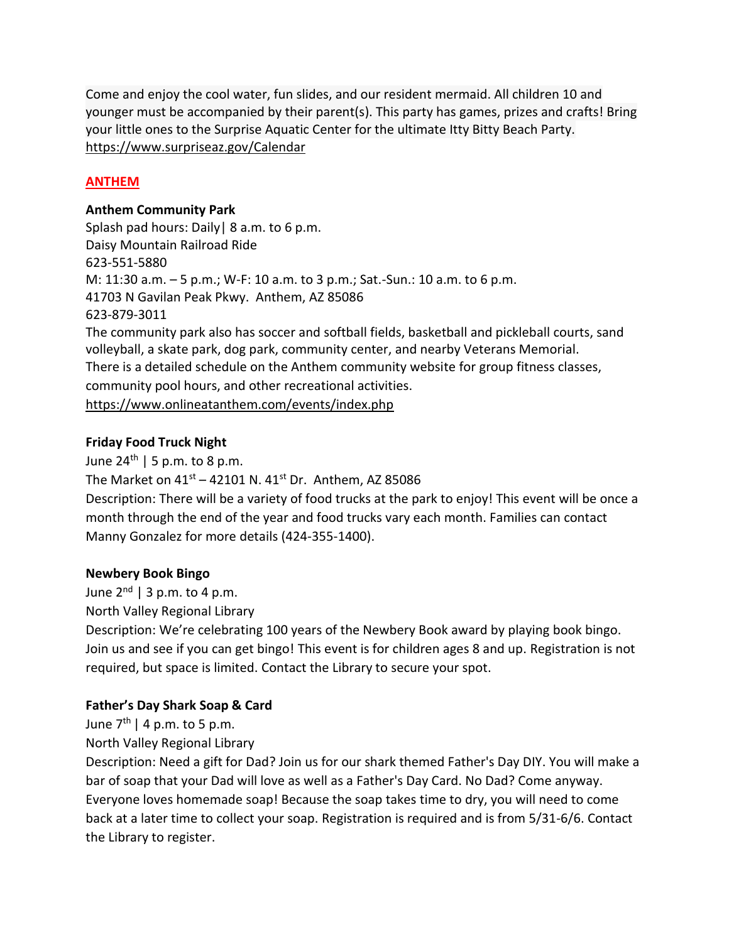Come and enjoy the cool water, fun slides, and our resident mermaid. All children 10 and younger must be accompanied by their parent(s). This party has games, prizes and crafts! Bring your little ones to the Surprise Aquatic Center for the ultimate Itty Bitty Beach Party. [https://www.surpriseaz.gov/Calendar](https://www.surpriseaz.gov/Calendar.aspx?EID=9454&month=3&year=2022&day=22&calType=0)

## **ANTHEM**

### **Anthem Community Park**

Splash pad hours: Daily | 8 a.m. to 6 p.m. Daisy Mountain Railroad Ride 623-551-5880 M: 11:30 a.m. – 5 p.m.; W-F: 10 a.m. to 3 p.m.; Sat.-Sun.: 10 a.m. to 6 p.m. 41703 N Gavilan Peak Pkwy. Anthem, AZ 85086 623-879-3011 The community park also has soccer and softball fields, basketball and pickleball courts, sand volleyball, a skate park, dog park, community center, and nearby Veterans Memorial. There is a detailed schedule on the Anthem community website for group fitness classes, community pool hours, and other recreational activities. <https://www.onlineatanthem.com/events/index.php>

### **Friday Food Truck Night**

June  $24<sup>th</sup>$  | 5 p.m. to 8 p.m. The Market on  $41^{st}$  – 42101 N.  $41^{st}$  Dr. Anthem, AZ 85086 Description: There will be a variety of food trucks at the park to enjoy! This event will be once a month through the end of the year and food trucks vary each month. Families can contact Manny Gonzalez for more details (424-355-1400).

## **Newbery Book Bingo**

June  $2^{nd}$  | 3 p.m. to 4 p.m.

North Valley Regional Library

Description: We're celebrating 100 years of the Newbery Book award by playing book bingo. Join us and see if you can get bingo! This event is for children ages 8 and up. Registration is not required, but space is limited. Contact the Library to secure your spot.

# **Father's Day Shark Soap & Card**

June  $7<sup>th</sup>$  | 4 p.m. to 5 p.m.

North Valley Regional Library

Description: Need a gift for Dad? Join us for our shark themed Father's Day DIY. You will make a bar of soap that your Dad will love as well as a Father's Day Card. No Dad? Come anyway. Everyone loves homemade soap! Because the soap takes time to dry, you will need to come back at a later time to collect your soap. Registration is required and is from 5/31-6/6. Contact the Library to register.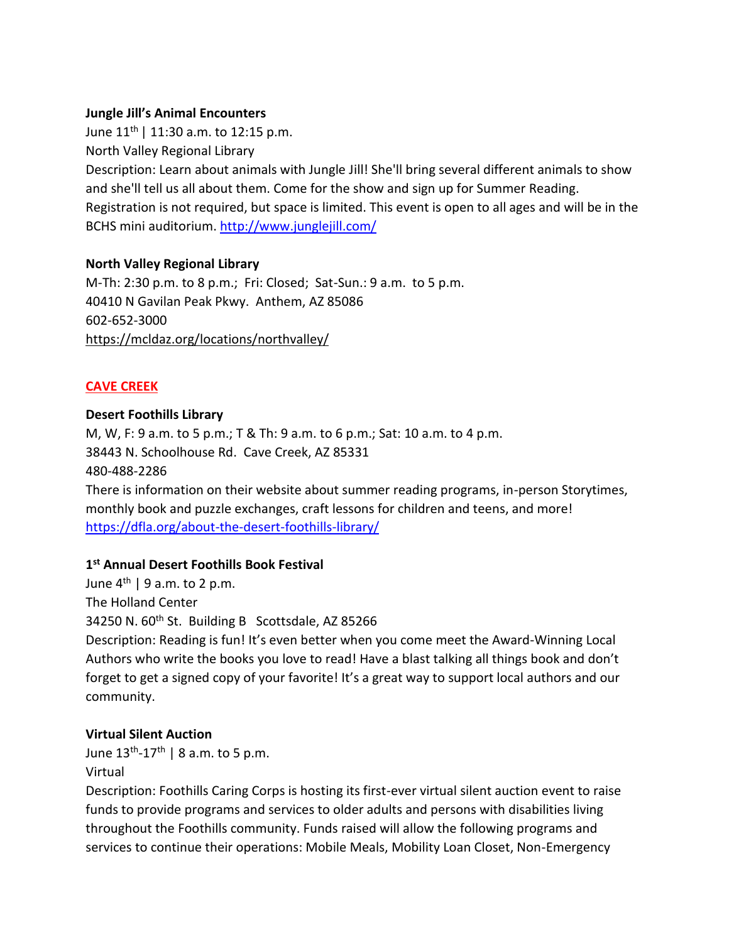### **Jungle Jill's Animal Encounters**

June  $11^{th}$  | 11:30 a.m. to 12:15 p.m. North Valley Regional Library Description: Learn about animals with Jungle Jill! She'll bring several different animals to show and she'll tell us all about them. Come for the show and sign up for Summer Reading. Registration is not required, but space is limited. This event is open to all ages and will be in the BCHS mini auditorium.<http://www.junglejill.com/>

### **North Valley Regional Library**

M-Th: 2:30 p.m. to 8 p.m.; Fri: Closed; Sat-Sun.: 9 a.m. to 5 p.m. 40410 N Gavilan Peak Pkwy. Anthem, AZ 85086 602-652-3000 <https://mcldaz.org/locations/northvalley/>

## **CAVE CREEK**

### **Desert Foothills Library**

M, W, F: 9 a.m. to 5 p.m.; T & Th: 9 a.m. to 6 p.m.; Sat: 10 a.m. to 4 p.m. 38443 N. Schoolhouse Rd. Cave Creek, AZ 85331 480-488-2286 There is information on their website about summer reading programs, in-person Storytimes, monthly book and puzzle exchanges, craft lessons for children and teens, and more! <https://dfla.org/about-the-desert-foothills-library/>

## **1 st Annual Desert Foothills Book Festival**

June  $4^{th}$  | 9 a.m. to 2 p.m. The Holland Center 34250 N. 60<sup>th</sup> St. Building B Scottsdale, AZ 85266 Description: Reading is fun! It's even better when you come meet the Award-Winning Local Authors who write the books you love to read! Have a blast talking all things book and don't forget to get a signed copy of your favorite! It's a great way to support local authors and our community.

#### **Virtual Silent Auction**

June 13<sup>th</sup>-17<sup>th</sup> | 8 a.m. to 5 p.m. Virtual

Description: Foothills Caring Corps is hosting its first-ever virtual silent auction event to raise funds to provide programs and services to older adults and persons with disabilities living throughout the Foothills community. Funds raised will allow the following programs and services to continue their operations: Mobile Meals, Mobility Loan Closet, Non-Emergency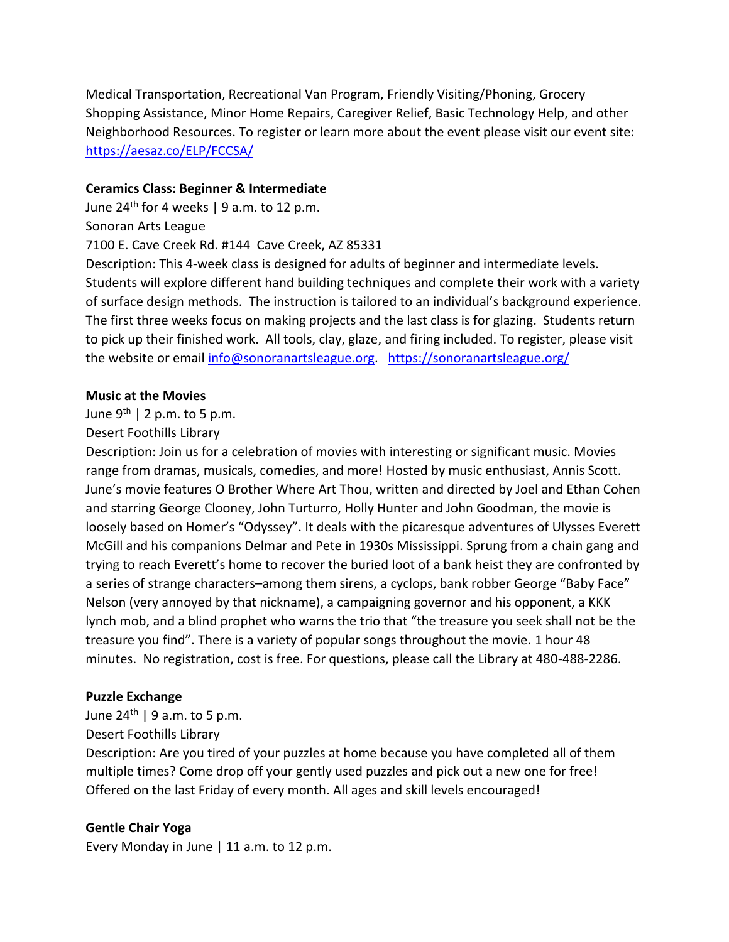Medical Transportation, Recreational Van Program, Friendly Visiting/Phoning, Grocery Shopping Assistance, Minor Home Repairs, Caregiver Relief, Basic Technology Help, and other Neighborhood Resources. To register or learn more about the event please visit our event site: <https://aesaz.co/ELP/FCCSA/>

#### **Ceramics Class: Beginner & Intermediate**

June  $24<sup>th</sup>$  for 4 weeks | 9 a.m. to 12 p.m. Sonoran Arts League 7100 E. Cave Creek Rd. #144 Cave Creek, AZ 85331 Description: This 4-week class is designed for adults of beginner and intermediate levels. Students will explore different hand building techniques and complete their work with a variety of surface design methods. The instruction is tailored to an individual's background experience. The first three weeks focus on making projects and the last class is for glazing. Students return to pick up their finished work. All tools, clay, glaze, and firing included. To register, please visit the website or email [info@sonoranartsleague.org.](mailto:info@sonoranartsleague.org) <https://sonoranartsleague.org/>

### **Music at the Movies**

## June  $9^{th}$  | 2 p.m. to 5 p.m.

### Desert Foothills Library

Description: Join us for a celebration of movies with interesting or significant music. Movies range from dramas, musicals, comedies, and more! Hosted by music enthusiast, Annis Scott. June's movie features O Brother Where Art Thou, written and directed by Joel and Ethan Cohen and starring George Clooney, John Turturro, Holly Hunter and John Goodman, the movie is loosely based on Homer's "Odyssey". It deals with the picaresque adventures of Ulysses Everett McGill and his companions Delmar and Pete in 1930s Mississippi. Sprung from a chain gang and trying to reach Everett's home to recover the buried loot of a bank heist they are confronted by a series of strange characters–among them sirens, a cyclops, bank robber George "Baby Face" Nelson (very annoyed by that nickname), a campaigning governor and his opponent, a KKK lynch mob, and a blind prophet who warns the trio that "the treasure you seek shall not be the treasure you find". There is a variety of popular songs throughout the movie. 1 hour 48 minutes. No registration, cost is free. For questions, please call the Library at 480-488-2286.

## **Puzzle Exchange**

June  $24^{th}$  | 9 a.m. to 5 p.m. Desert Foothills Library

Description: Are you tired of your puzzles at home because you have completed all of them multiple times? Come drop off your gently used puzzles and pick out a new one for free! Offered on the last Friday of every month. All ages and skill levels encouraged!

#### **Gentle Chair Yoga**

Every Monday in June | 11 a.m. to 12 p.m.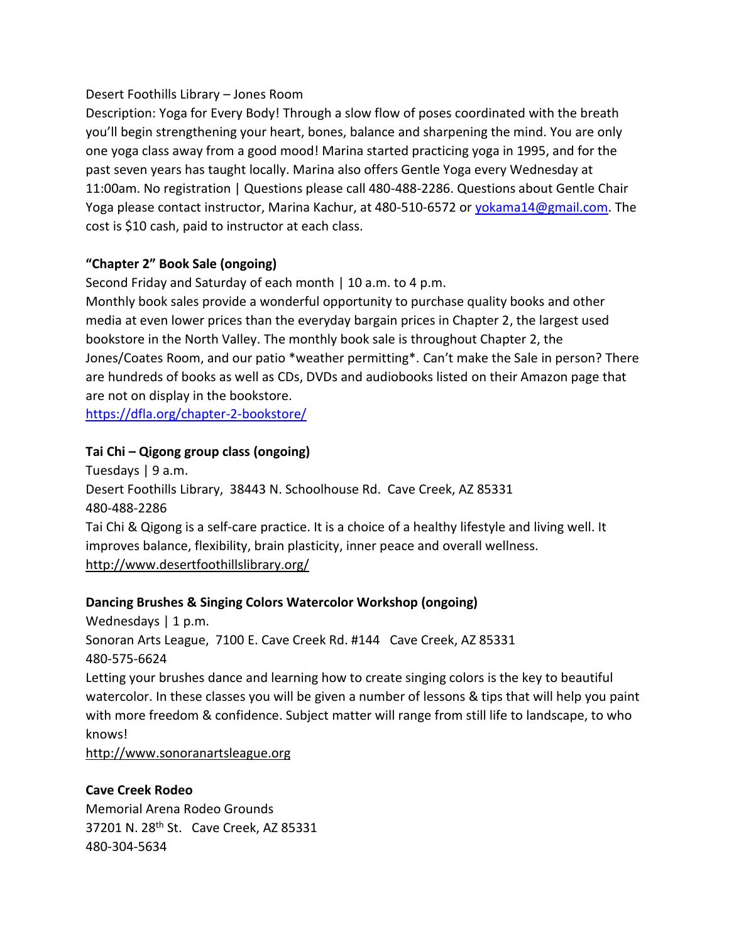### Desert Foothills Library – Jones Room

Description: Yoga for Every Body! Through a slow flow of poses coordinated with the breath you'll begin strengthening your heart, bones, balance and sharpening the mind. You are only one yoga class away from a good mood! Marina started practicing yoga in 1995, and for the past seven years has taught locally. Marina also offers Gentle Yoga every Wednesday at 11:00am. No registration | Questions please call 480-488-2286. Questions about Gentle Chair Yoga please contact instructor, Marina Kachur, at 480-510-6572 or [yokama14@gmail.com.](mailto:yokama14@gmail.com) The cost is \$10 cash, paid to instructor at each class.

## **"Chapter 2" Book Sale (ongoing)**

Second Friday and Saturday of each month | 10 a.m. to 4 p.m.

Monthly book sales provide a wonderful opportunity to purchase quality books and other media at even lower prices than the everyday bargain prices in Chapter 2, the largest used bookstore in the North Valley. The monthly book sale is throughout Chapter 2, the Jones/Coates Room, and our patio \*weather permitting\*. Can't make the Sale in person? There are hundreds of books as well as CDs, DVDs and audiobooks listed on their Amazon page that are not on display in the bookstore.

<https://dfla.org/chapter-2-bookstore/>

## **Tai Chi – Qigong group class (ongoing)**

Tuesdays | 9 a.m. Desert Foothills Library, 38443 N. Schoolhouse Rd. Cave Creek, AZ 85331 480-488-2286 Tai Chi & Qigong is a self-care practice. It is a choice of a healthy lifestyle and living well. It improves balance, flexibility, brain plasticity, inner peace and overall wellness. <http://www.desertfoothillslibrary.org/>

## **Dancing Brushes & Singing Colors Watercolor Workshop (ongoing)**

Wednesdays | 1 p.m. Sonoran Arts League, 7100 E. Cave Creek Rd. #144 Cave Creek, AZ 85331 480-575-6624 Letting your brushes dance and learning how to create singing colors is the key to beautiful watercolor. In these classes you will be given a number of lessons & tips that will help you paint with more freedom & confidence. Subject matter will range from still life to landscape, to who knows!

[http://www.sonoranartsleague.org](http://www.sonoranartsleague.org/)

## **Cave Creek Rodeo**

Memorial Arena Rodeo Grounds 37201 N. 28th St. Cave Creek, AZ 85331 480-304-5634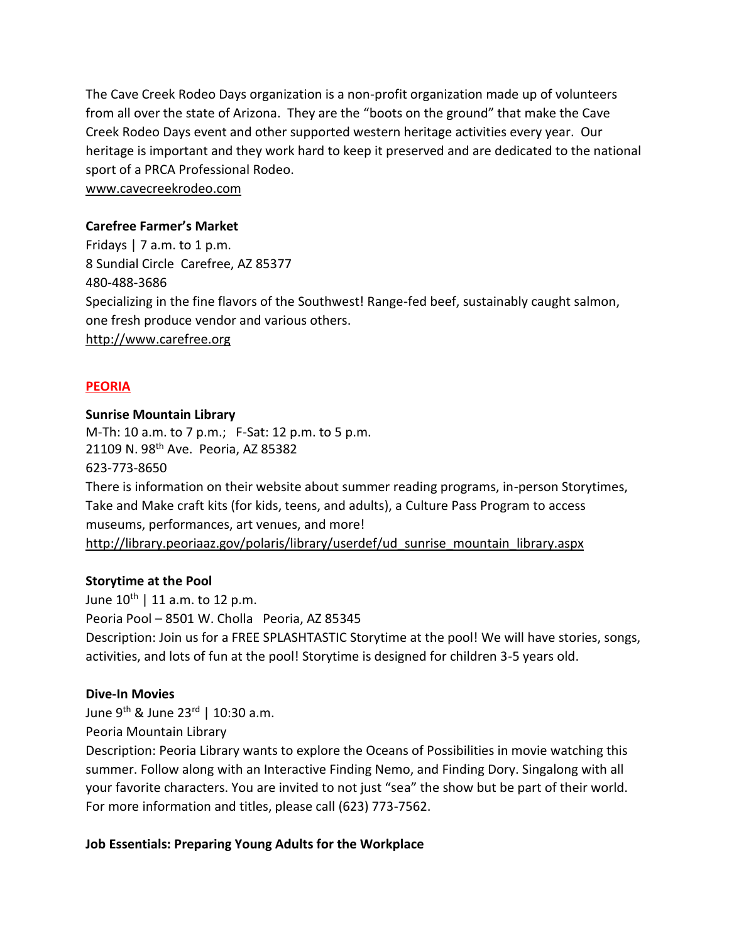The Cave Creek Rodeo Days organization is a non-profit organization made up of volunteers from all over the state of Arizona. They are the "boots on the ground" that make the Cave Creek Rodeo Days event and other supported western heritage activities every year. Our heritage is important and they work hard to keep it preserved and are dedicated to the national sport of a PRCA Professional Rodeo.

[www.cavecreekrodeo.com](https://cavecreekrodeo.com/)

### **Carefree Farmer's Market**

Fridays  $| 7$  a.m. to 1 p.m. 8 Sundial Circle Carefree, AZ 85377 480-488-3686 Specializing in the fine flavors of the Southwest! Range-fed beef, sustainably caught salmon, one fresh produce vendor and various others. [http://www.carefree.org](http://www.carefree.org/)

### **PEORIA**

#### **Sunrise Mountain Library**

M-Th: 10 a.m. to 7 p.m.; F-Sat: 12 p.m. to 5 p.m. 21109 N. 98<sup>th</sup> Ave. Peoria, AZ 85382 623-773-8650 There is information on their website about summer reading programs, in-person Storytimes, Take and Make craft kits (for kids, teens, and adults), a Culture Pass Program to access museums, performances, art venues, and more! [http://library.peoriaaz.gov/polaris/library/userdef/ud\\_sunrise\\_mountain\\_library.aspx](http://library.peoriaaz.gov/polaris/library/userdef/ud_sunrise_mountain_library.aspx)

#### **Storytime at the Pool**

June  $10^{th}$  | 11 a.m. to 12 p.m. Peoria Pool – 8501 W. Cholla Peoria, AZ 85345 Description: Join us for a FREE SPLASHTASTIC Storytime at the pool! We will have stories, songs, activities, and lots of fun at the pool! Storytime is designed for children 3-5 years old.

#### **Dive-In Movies**

June 9<sup>th</sup> & June 23<sup>rd</sup> | 10:30 a.m.

Peoria Mountain Library

Description: Peoria Library wants to explore the Oceans of Possibilities in movie watching this summer. Follow along with an Interactive Finding Nemo, and Finding Dory. Singalong with all your favorite characters. You are invited to not just "sea" the show but be part of their world. For more information and titles, please call (623) 773-7562.

## **Job Essentials: Preparing Young Adults for the Workplace**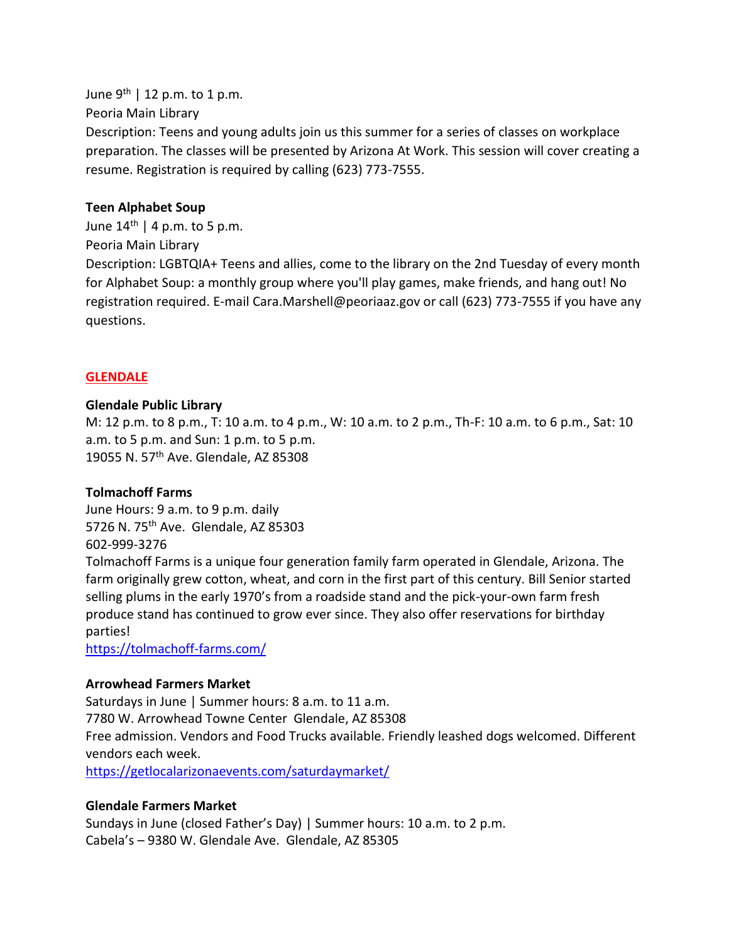June  $9^{th}$  | 12 p.m. to 1 p.m. Peoria Main Library Description: Teens and young adults join us this summer for a series of classes on workplace preparation. The classes will be presented by Arizona At Work. This session will cover creating a resume. Registration is required by calling (623) 773-7555.

#### **Teen Alphabet Soup**

June  $14<sup>th</sup>$  | 4 p.m. to 5 p.m. Peoria Main Library Description: LGBTQIA+ Teens and allies, come to the library on the 2nd Tuesday of every month for Alphabet Soup: a monthly group where you'll play games, make friends, and hang out! No registration required. E-mail Cara.Marshell@peoriaaz.gov or call (623) 773-7555 if you have any questions.

### **GLENDALE**

#### **Glendale Public Library**

M: 12 p.m. to 8 p.m., T: 10 a.m. to 4 p.m., W: 10 a.m. to 2 p.m., Th-F: 10 a.m. to 6 p.m., Sat: 10 a.m. to 5 p.m. and Sun: 1 p.m. to 5 p.m. 19055 N. 57<sup>th</sup> Ave. Glendale, AZ 85308

#### **Tolmachoff Farms**

June Hours: 9 a.m. to 9 p.m. daily 5726 N. 75<sup>th</sup> Ave. Glendale, AZ 85303 602-999-3276

Tolmachoff Farms is a unique four generation family farm operated in Glendale, Arizona. The farm originally grew cotton, wheat, and corn in the first part of this century. Bill Senior started selling plums in the early 1970's from a roadside stand and the pick-your-own farm fresh produce stand has continued to grow ever since. They also offer reservations for birthday parties!

<https://tolmachoff-farms.com/>

#### **Arrowhead Farmers Market**

Saturdays in June | Summer hours: 8 a.m. to 11 a.m. 7780 W. Arrowhead Towne Center Glendale, AZ 85308 Free admission. Vendors and Food Trucks available. Friendly leashed dogs welcomed. Different vendors each week.

<https://getlocalarizonaevents.com/saturdaymarket/>

#### **Glendale Farmers Market**

Sundays in June (closed Father's Day) | Summer hours: 10 a.m. to 2 p.m. Cabela's – 9380 W. Glendale Ave. Glendale, AZ 85305